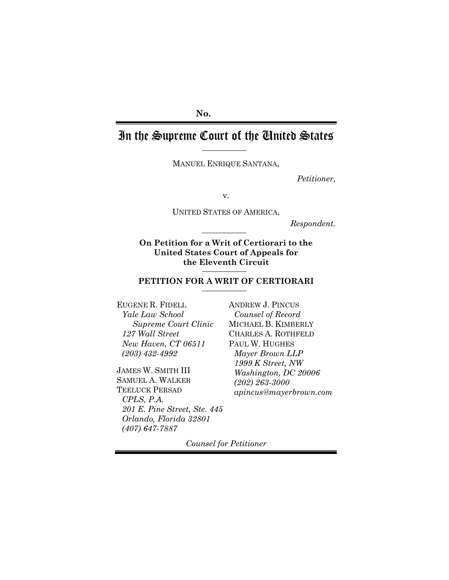## **No.**

# In the Supreme Court of the United States

MANUEL ENRIQUE SANTANA,

*Petitioner*,

v.

UNITED STATES OF AMERICA,

*Respondent.*

**On Petition for a Writ of Certiorari to the United States Court of Appeals for the Eleventh Circuit** 

#### **PETITION FOR A WRIT OF CERTIORARI**

EUGENE R. FIDELL *Yale Law School Supreme Court Clinic 127 Wall Street New Haven, CT 06511 (203) 432-4992* 

JAMES W. SMITH III SAMUEL A. WALKER TEELUCK PERSAD *CPLS, P.A. 201 E. Pine Street, Ste. 445 Orlando, Florida 32801 (407) 647-7887* 

ANDREW J. PINCUS *Counsel of Record*  MICHAEL B. KIMBERLY CHARLES A. ROTHFELD PAUL W. HUGHES *Mayer Brown LLP 1999 K Street, NW Washington, DC 20006 (202) 263-3000 apincus@mayerbrown.com*

*Counsel for Petitioner*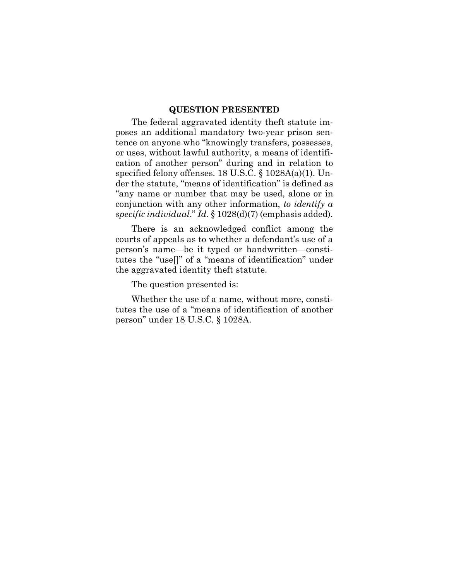#### **QUESTION PRESENTED**

The federal aggravated identity theft statute imposes an additional mandatory two-year prison sentence on anyone who "knowingly transfers, possesses, or uses, without lawful authority, a means of identification of another person" during and in relation to specified felony offenses. 18 U.S.C. § 1028A(a)(1). Under the statute, "means of identification" is defined as "any name or number that may be used, alone or in conjunction with any other information, *to identify a specific individual*." *Id.* § 1028(d)(7) (emphasis added).

There is an acknowledged conflict among the courts of appeals as to whether a defendant's use of a person's name—be it typed or handwritten—constitutes the "use[]" of a "means of identification" under the aggravated identity theft statute.

The question presented is:

Whether the use of a name, without more, constitutes the use of a "means of identification of another person" under 18 U.S.C. § 1028A.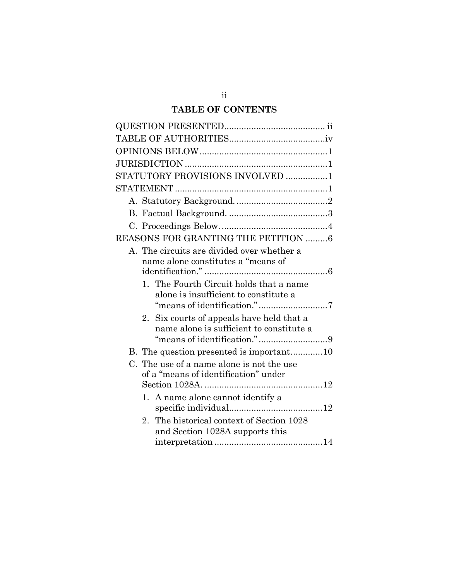## **TABLE OF CONTENTS**

| STATUTORY PROVISIONS INVOLVED 1                       |
|-------------------------------------------------------|
|                                                       |
|                                                       |
|                                                       |
|                                                       |
| REASONS FOR GRANTING THE PETITION 6                   |
| A. The circuits are divided over whether a            |
| name alone constitutes a "means of                    |
|                                                       |
| 1. The Fourth Circuit holds that a name               |
| alone is insufficient to constitute a                 |
|                                                       |
| Six courts of appeals have held that a<br>2.          |
| name alone is sufficient to constitute a              |
|                                                       |
|                                                       |
| C. The use of a name alone is not the use             |
| of a "means of identification" under                  |
|                                                       |
| 1. A name alone cannot identify a                     |
|                                                       |
| The historical context of Section 1028<br>$2^{\circ}$ |
| and Section 1028A supports this                       |
|                                                       |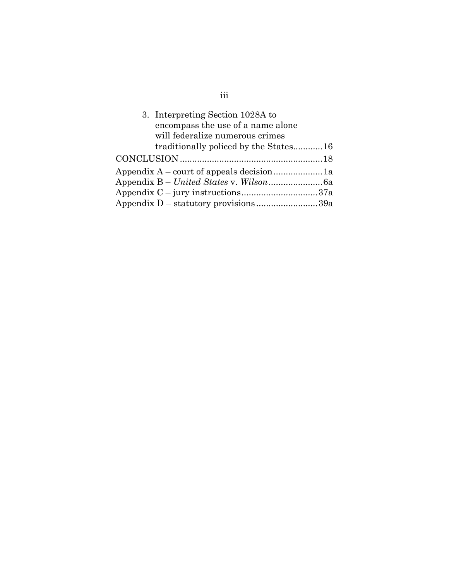| 3. Interpreting Section 1028A to      |  |
|---------------------------------------|--|
| encompass the use of a name alone     |  |
| will federalize numerous crimes       |  |
| traditionally policed by the States16 |  |
|                                       |  |
|                                       |  |
|                                       |  |
|                                       |  |
| Appendix D – statutory provisions39a  |  |

# iii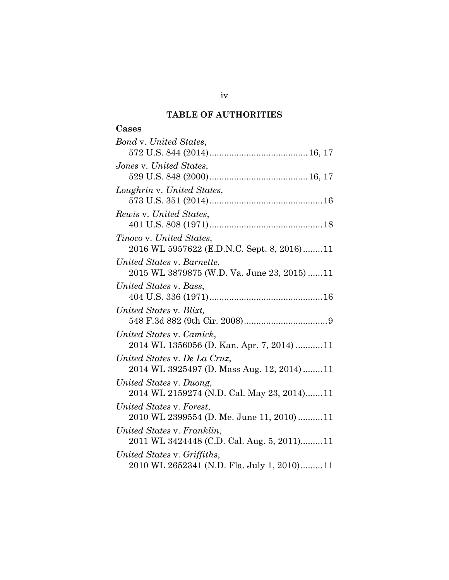## **TABLE OF AUTHORITIES**

## **Cases**

| Bond v. United States,                      |
|---------------------------------------------|
|                                             |
| Jones v. United States,                     |
|                                             |
| Loughrin v. United States,                  |
|                                             |
| Rewis v. United States,                     |
|                                             |
| Tinoco v. United States,                    |
| 2016 WL 5957622 (E.D.N.C. Sept. 8, 2016)11  |
| United States v. Barnette,                  |
| 2015 WL 3879875 (W.D. Va. June 23, 2015) 11 |
| United States v. Bass,                      |
|                                             |
| United States v. Blixt,                     |
|                                             |
| United States v. Camick,                    |
| 2014 WL 1356056 (D. Kan. Apr. 7, 2014)  11  |
| United States v. De La Cruz,                |
| 2014 WL 3925497 (D. Mass Aug. 12, 2014) 11  |
| United States v. Duong,                     |
| 2014 WL 2159274 (N.D. Cal. May 23, 2014)11  |
| United States v. Forest,                    |
| 2010 WL 2399554 (D. Me. June 11, 2010)  11  |
| United States v. Franklin,                  |
| 2011 WL 3424448 (C.D. Cal. Aug. 5, 2011)11  |
| United States v. Griffiths,                 |
| 2010 WL 2652341 (N.D. Fla. July 1, 2010)11  |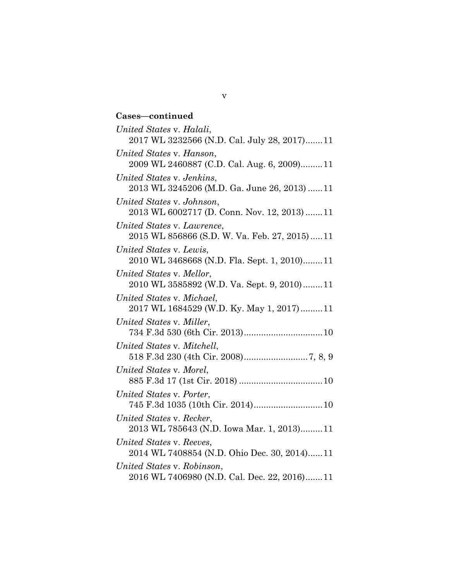### **Cases—continued**

*United States* v. *Halali*, 2017 WL 3232566 (N.D. Cal. July 28, 2017) ....... 11 *United States* v. *Hanson*, 2009 WL 2460887 (C.D. Cal. Aug. 6, 2009).........11 *United States* v. *Jenkins*, 2013 WL 3245206 (M.D. Ga. June 26, 2013) ...... 11 *United States* v. *Johnson*, 2013 WL 6002717 (D. Conn. Nov. 12, 2013) ....... 11 *United States* v. *Lawrence*, 2015 WL 856866 (S.D. W. Va. Feb. 27, 2015) ..... 11 *United States* v. *Lewis*, 2010 WL 3468668 (N.D. Fla. Sept. 1, 2010) ........ 11 *United States* v. *Mellor*, 2010 WL 3585892 (W.D. Va. Sept. 9, 2010) ........ 11 *United States* v. *Michael*, 2017 WL 1684529 (W.D. Ky. May 1, 2017) ......... 11 *United States* v*. Miller*, 734 F.3d 530 (6th Cir. 2013) ................................ 10 *United States* v*. Mitchell*, 518 F.3d 230 (4th Cir. 2008) .......................... 7, 8, 9 *United States* v*. Morel*, 885 F.3d 17 (1st Cir. 2018) .................................. 10 *United States* v*. Porter*, 745 F.3d 1035 (10th Cir. 2014) ............................ 10 *United States* v. *Recker*, 2013 WL 785643 (N.D. Iowa Mar. 1, 2013) ......... 11 *United States* v. *Reeves*, 2014 WL 7408854 (N.D. Ohio Dec. 30, 2014) ...... 11 *United States* v. *Robinson*, 2016 WL 7406980 (N.D. Cal. Dec. 22, 2016) ....... 11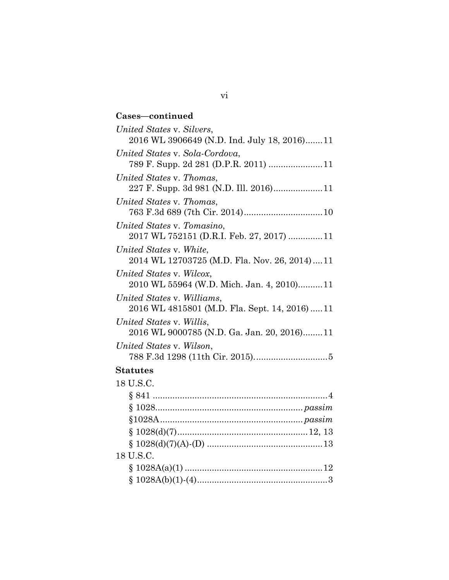## **Cases—continued** *United States* v. *Silvers*, 2016 WL 3906649 (N.D. Ind. July 18, 2016) ....... 11 *United States* v. *Sola-Cordova*, 789 F. Supp. 2d 281 (D.P.R. 2011) ...................... 11 *United States* v. *Thomas*, 227 F. Supp. 3d 981 (N.D. Ill. 2016) .................... 11 *United States* v*. Thomas*, 763 F.3d 689 (7th Cir. 2014) ................................ 10 *United States* v. *Tomasino*, 2017 WL 752151 (D.R.I. Feb. 27, 2017) .............. 11 *United States* v. *White*, 2014 WL 12703725 (M.D. Fla. Nov. 26, 2014) .... 11 *United States* v. *Wilcox*, 2010 WL 55964 (W.D. Mich. Jan. 4, 2010).......... 11 *United States* v. *Williams*, 2016 WL 4815801 (M.D. Fla. Sept. 14, 2016) ..... 11 *United States* v. *Willis*, 2016 WL 9000785 (N.D. Ga. Jan. 20, 2016) ........ 11 *United States* v. *Wilson*, 788 F.3d 1298 (11th Cir. 2015). ............................. 5 **Statutes**  18 U.S.C. § 841 ....................................................................... 4 § 1028............................................................ *passim* §1028A .......................................................... *passim* § 1028(d)(7) ..................................................... 12, 13 § 1028(d)(7)(A)-(D) ............................................... 13

# 18 U.S.C.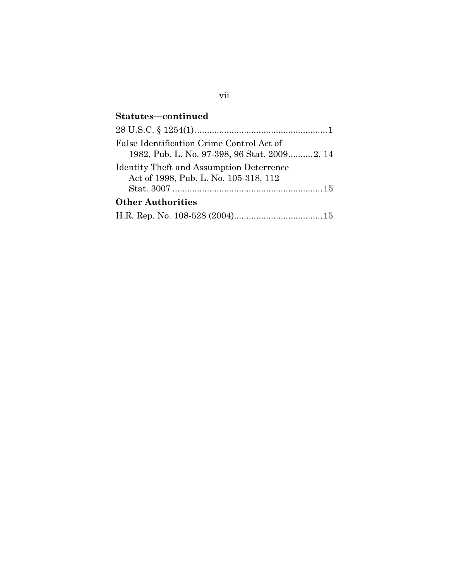## **Statutes—continued**

| False Identification Crime Control Act of    |
|----------------------------------------------|
| 1982, Pub. L. No. 97-398, 96 Stat. 20092, 14 |
| Identity Theft and Assumption Deterrence     |
| Act of 1998, Pub. L. No. 105-318, 112        |
|                                              |
| <b>Other Authorities</b>                     |
|                                              |

## vii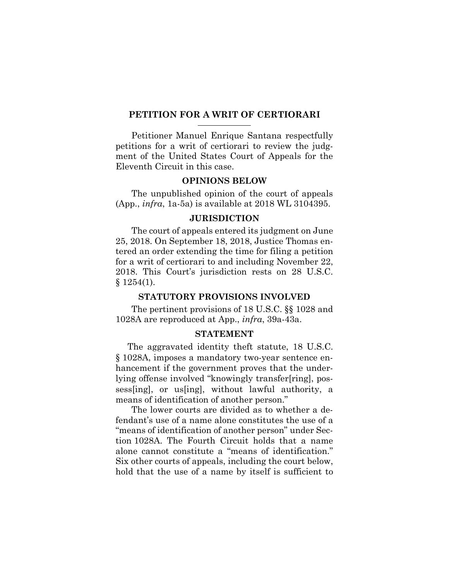#### **PETITION FOR A WRIT OF CERTIORARI**

Petitioner Manuel Enrique Santana respectfully petitions for a writ of certiorari to review the judgment of the United States Court of Appeals for the Eleventh Circuit in this case.

#### **OPINIONS BELOW**

The unpublished opinion of the court of appeals (App., *infra*, 1a-5a) is available at 2018 WL 3104395.

#### **JURISDICTION**

The court of appeals entered its judgment on June 25, 2018. On September 18, 2018, Justice Thomas entered an order extending the time for filing a petition for a writ of certiorari to and including November 22, 2018. This Court's jurisdiction rests on 28 U.S.C.  $$1254(1).$ 

#### **STATUTORY PROVISIONS INVOLVED**

The pertinent provisions of 18 U.S.C. §§ 1028 and 1028A are reproduced at App., *infra*, 39a-43a.

## **STATEMENT**

The aggravated identity theft statute, 18 U.S.C. § 1028A, imposes a mandatory two-year sentence enhancement if the government proves that the underlying offense involved "knowingly transfer[ring], possess[ing], or us[ing], without lawful authority, a means of identification of another person."

The lower courts are divided as to whether a defendant's use of a name alone constitutes the use of a "means of identification of another person" under Section 1028A. The Fourth Circuit holds that a name alone cannot constitute a "means of identification." Six other courts of appeals, including the court below, hold that the use of a name by itself is sufficient to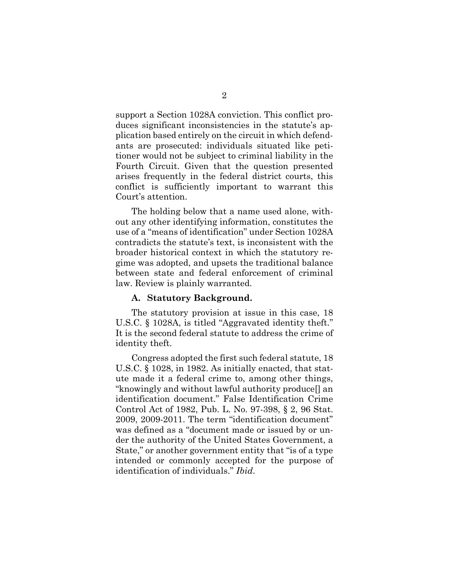support a Section 1028A conviction. This conflict produces significant inconsistencies in the statute's application based entirely on the circuit in which defendants are prosecuted: individuals situated like petitioner would not be subject to criminal liability in the Fourth Circuit. Given that the question presented arises frequently in the federal district courts, this conflict is sufficiently important to warrant this Court's attention.

The holding below that a name used alone, without any other identifying information, constitutes the use of a "means of identification" under Section 1028A contradicts the statute's text, is inconsistent with the broader historical context in which the statutory regime was adopted, and upsets the traditional balance between state and federal enforcement of criminal law. Review is plainly warranted.

#### **A. Statutory Background.**

The statutory provision at issue in this case, 18 U.S.C. § 1028A, is titled "Aggravated identity theft." It is the second federal statute to address the crime of identity theft.

Congress adopted the first such federal statute, 18 U.S.C. § 1028, in 1982. As initially enacted, that statute made it a federal crime to, among other things, "knowingly and without lawful authority produce[] an identification document." False Identification Crime Control Act of 1982, Pub. L. No. 97-398, § 2, 96 Stat. 2009, 2009-2011. The term "identification document" was defined as a "document made or issued by or under the authority of the United States Government, a State," or another government entity that "is of a type intended or commonly accepted for the purpose of identification of individuals." *Ibid*.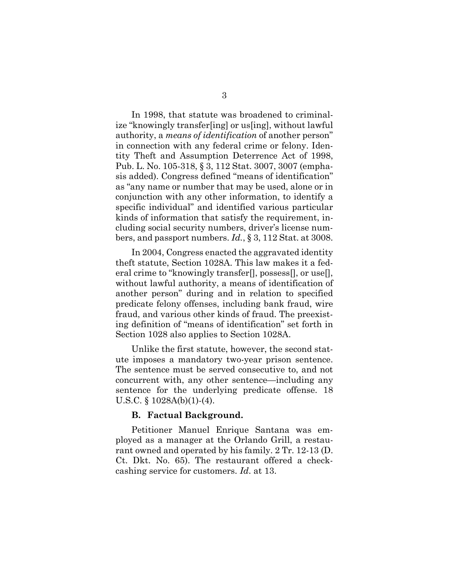In 1998, that statute was broadened to criminalize "knowingly transfer[ing] or us[ing], without lawful authority, a *means of identification* of another person" in connection with any federal crime or felony. Identity Theft and Assumption Deterrence Act of 1998, Pub. L. No. 105-318, § 3, 112 Stat. 3007, 3007 (emphasis added). Congress defined "means of identification" as "any name or number that may be used, alone or in conjunction with any other information, to identify a specific individual" and identified various particular kinds of information that satisfy the requirement, including social security numbers, driver's license numbers, and passport numbers. *Id.*, § 3, 112 Stat. at 3008.

In 2004, Congress enacted the aggravated identity theft statute, Section 1028A. This law makes it a federal crime to "knowingly transfer[], possess[], or use[], without lawful authority, a means of identification of another person" during and in relation to specified predicate felony offenses, including bank fraud, wire fraud, and various other kinds of fraud. The preexisting definition of "means of identification" set forth in Section 1028 also applies to Section 1028A.

Unlike the first statute, however, the second statute imposes a mandatory two-year prison sentence. The sentence must be served consecutive to, and not concurrent with, any other sentence—including any sentence for the underlying predicate offense. 18 U.S.C. § 1028A(b)(1)-(4).

#### **B. Factual Background.**

Petitioner Manuel Enrique Santana was employed as a manager at the Orlando Grill, a restaurant owned and operated by his family. 2 Tr. 12-13 (D. Ct. Dkt. No. 65). The restaurant offered a checkcashing service for customers. *Id*. at 13.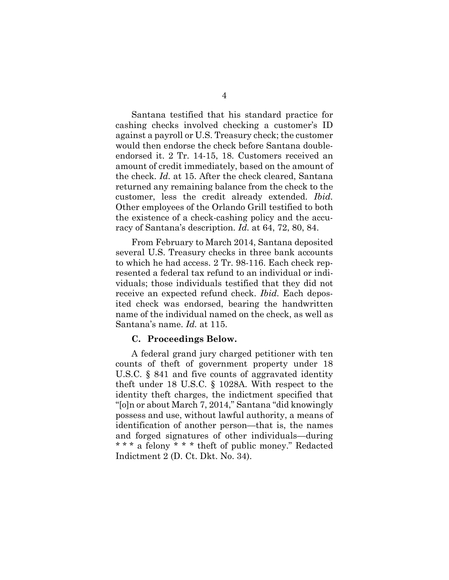Santana testified that his standard practice for cashing checks involved checking a customer's ID against a payroll or U.S. Treasury check; the customer would then endorse the check before Santana doubleendorsed it. 2 Tr. 14-15, 18. Customers received an amount of credit immediately, based on the amount of the check. *Id.* at 15. After the check cleared, Santana returned any remaining balance from the check to the customer, less the credit already extended. *Ibid.*  Other employees of the Orlando Grill testified to both the existence of a check-cashing policy and the accuracy of Santana's description. *Id.* at 64, 72, 80, 84.

From February to March 2014, Santana deposited several U.S. Treasury checks in three bank accounts to which he had access. 2 Tr. 98-116. Each check represented a federal tax refund to an individual or individuals; those individuals testified that they did not receive an expected refund check. *Ibid.* Each deposited check was endorsed, bearing the handwritten name of the individual named on the check, as well as Santana's name. *Id.* at 115.

#### **C. Proceedings Below.**

A federal grand jury charged petitioner with ten counts of theft of government property under 18 U.S.C. § 841 and five counts of aggravated identity theft under 18 U.S.C. § 1028A. With respect to the identity theft charges, the indictment specified that "[o]n or about March 7, 2014," Santana "did knowingly possess and use, without lawful authority, a means of identification of another person—that is, the names and forged signatures of other individuals—during \* \* \* a felony \* \* \* theft of public money." Redacted Indictment 2 (D. Ct. Dkt. No. 34).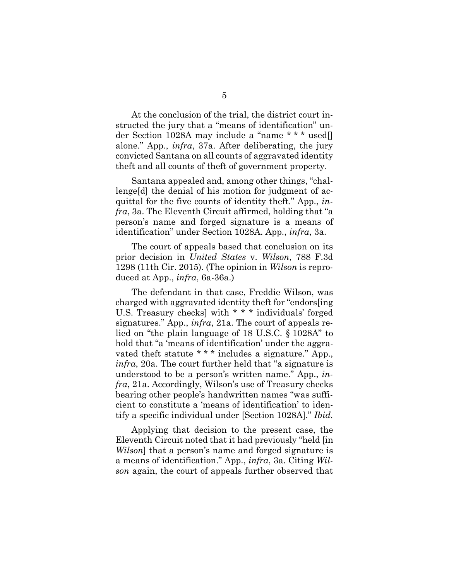At the conclusion of the trial, the district court instructed the jury that a "means of identification" under Section 1028A may include a "name \* \* \* used[] alone." App., *infra*, 37a. After deliberating, the jury convicted Santana on all counts of aggravated identity theft and all counts of theft of government property.

Santana appealed and, among other things, "challenge[d] the denial of his motion for judgment of acquittal for the five counts of identity theft." App., *infra*, 3a. The Eleventh Circuit affirmed, holding that "a person's name and forged signature is a means of identification" under Section 1028A. App., *infra*, 3a.

The court of appeals based that conclusion on its prior decision in *United States* v. *Wilson*, 788 F.3d 1298 (11th Cir. 2015). (The opinion in *Wilson* is reproduced at App., *infra*, 6a-36a.)

The defendant in that case, Freddie Wilson, was charged with aggravated identity theft for "endors[ing U.S. Treasury checks] with \* \* \* individuals' forged signatures." App., *infra*, 21a. The court of appeals relied on "the plain language of 18 U.S.C. § 1028A" to hold that "a 'means of identification' under the aggravated theft statute \* \* \* includes a signature." App., *infra*, 20a. The court further held that "a signature is understood to be a person's written name." App., *infra*, 21a. Accordingly, Wilson's use of Treasury checks bearing other people's handwritten names "was sufficient to constitute a 'means of identification' to identify a specific individual under [Section 1028A]." *Ibid.*

Applying that decision to the present case, the Eleventh Circuit noted that it had previously "held [in *Wilson*] that a person's name and forged signature is a means of identification." App., *infra*, 3a. Citing *Wilson* again, the court of appeals further observed that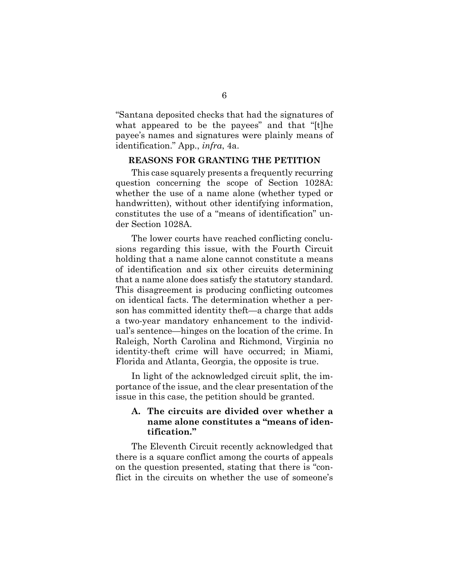"Santana deposited checks that had the signatures of what appeared to be the payees" and that "[t]he payee's names and signatures were plainly means of identification." App., *infra*, 4a.

#### **REASONS FOR GRANTING THE PETITION**

This case squarely presents a frequently recurring question concerning the scope of Section 1028A: whether the use of a name alone (whether typed or handwritten), without other identifying information, constitutes the use of a "means of identification" under Section 1028A.

The lower courts have reached conflicting conclusions regarding this issue, with the Fourth Circuit holding that a name alone cannot constitute a means of identification and six other circuits determining that a name alone does satisfy the statutory standard. This disagreement is producing conflicting outcomes on identical facts. The determination whether a person has committed identity theft—a charge that adds a two-year mandatory enhancement to the individual's sentence—hinges on the location of the crime. In Raleigh, North Carolina and Richmond, Virginia no identity-theft crime will have occurred; in Miami, Florida and Atlanta, Georgia, the opposite is true.

In light of the acknowledged circuit split, the importance of the issue, and the clear presentation of the issue in this case, the petition should be granted.

## **A. The circuits are divided over whether a name alone constitutes a "means of identification."**

The Eleventh Circuit recently acknowledged that there is a square conflict among the courts of appeals on the question presented, stating that there is "conflict in the circuits on whether the use of someone's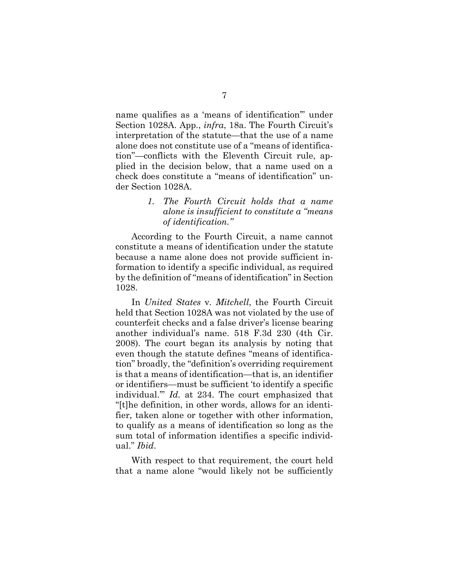name qualifies as a 'means of identification'" under Section 1028A. App., *infra*, 18a. The Fourth Circuit's interpretation of the statute—that the use of a name alone does not constitute use of a "means of identification"—conflicts with the Eleventh Circuit rule, applied in the decision below, that a name used on a check does constitute a "means of identification" under Section 1028A.

> *1. The Fourth Circuit holds that a name alone is insufficient to constitute a "means of identification."*

According to the Fourth Circuit, a name cannot constitute a means of identification under the statute because a name alone does not provide sufficient information to identify a specific individual, as required by the definition of "means of identification" in Section 1028.

In *United States* v*. Mitchell*, the Fourth Circuit held that Section 1028A was not violated by the use of counterfeit checks and a false driver's license bearing another individual's name. 518 F.3d 230 (4th Cir. 2008). The court began its analysis by noting that even though the statute defines "means of identification" broadly, the "definition's overriding requirement is that a means of identification—that is, an identifier or identifiers—must be sufficient 'to identify a specific individual.'" *Id.* at 234. The court emphasized that "[t]he definition, in other words, allows for an identifier, taken alone or together with other information, to qualify as a means of identification so long as the sum total of information identifies a specific individual." *Ibid*.

With respect to that requirement, the court held that a name alone "would likely not be sufficiently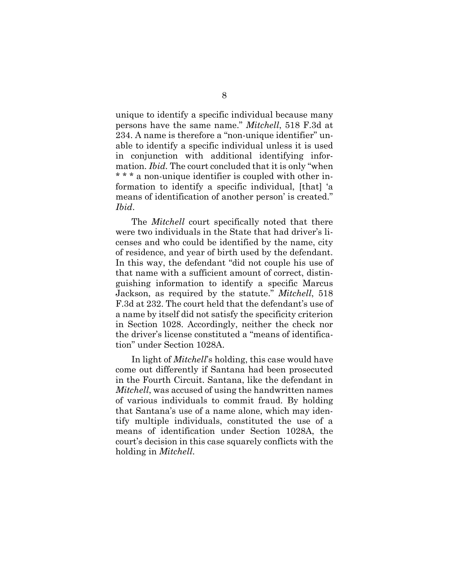unique to identify a specific individual because many persons have the same name." *Mitchell*, 518 F.3d at 234. A name is therefore a "non-unique identifier" unable to identify a specific individual unless it is used in conjunction with additional identifying information. *Ibid.* The court concluded that it is only "when \* \* \* a non-unique identifier is coupled with other information to identify a specific individual, [that] 'a means of identification of another person' is created." *Ibid*.

The *Mitchell* court specifically noted that there were two individuals in the State that had driver's licenses and who could be identified by the name, city of residence, and year of birth used by the defendant. In this way, the defendant "did not couple his use of that name with a sufficient amount of correct, distinguishing information to identify a specific Marcus Jackson, as required by the statute." *Mitchell*, 518 F.3d at 232. The court held that the defendant's use of a name by itself did not satisfy the specificity criterion in Section 1028. Accordingly, neither the check nor the driver's license constituted a "means of identification" under Section 1028A.

In light of *Mitchell*'s holding, this case would have come out differently if Santana had been prosecuted in the Fourth Circuit. Santana, like the defendant in *Mitchell*, was accused of using the handwritten names of various individuals to commit fraud. By holding that Santana's use of a name alone, which may identify multiple individuals, constituted the use of a means of identification under Section 1028A, the court's decision in this case squarely conflicts with the holding in *Mitchell*.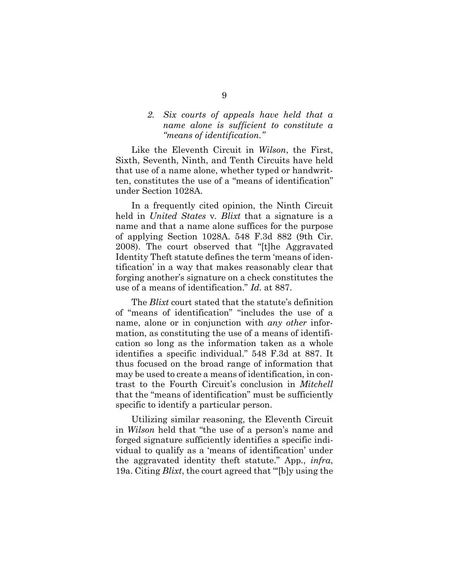### *2. Six courts of appeals have held that a name alone is sufficient to constitute a "means of identification."*

Like the Eleventh Circuit in *Wilson*, the First, Sixth, Seventh, Ninth, and Tenth Circuits have held that use of a name alone, whether typed or handwritten, constitutes the use of a "means of identification" under Section 1028A.

In a frequently cited opinion, the Ninth Circuit held in *United States* v*. Blixt* that a signature is a name and that a name alone suffices for the purpose of applying Section 1028A. 548 F.3d 882 (9th Cir. 2008). The court observed that "[t]he Aggravated Identity Theft statute defines the term 'means of identification' in a way that makes reasonably clear that forging another's signature on a check constitutes the use of a means of identification." *Id.* at 887.

The *Blixt* court stated that the statute's definition of "means of identification" "includes the use of a name, alone or in conjunction with *any other* information, as constituting the use of a means of identification so long as the information taken as a whole identifies a specific individual." 548 F.3d at 887. It thus focused on the broad range of information that may be used to create a means of identification, in contrast to the Fourth Circuit's conclusion in *Mitchell* that the "means of identification" must be sufficiently specific to identify a particular person.

Utilizing similar reasoning, the Eleventh Circuit in *Wilson* held that "the use of a person's name and forged signature sufficiently identifies a specific individual to qualify as a 'means of identification' under the aggravated identity theft statute." App., *infra*, 19a. Citing *Blixt*, the court agreed that "'[b]y using the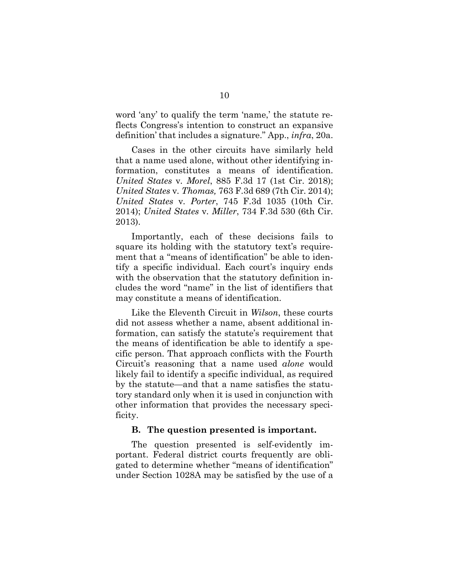word 'any' to qualify the term 'name,' the statute reflects Congress's intention to construct an expansive definition' that includes a signature." App., *infra*, 20a.

Cases in the other circuits have similarly held that a name used alone, without other identifying information, constitutes a means of identification. *United States* v*. Morel*, 885 F.3d 17 (1st Cir. 2018); *United States* v*. Thomas,* 763 F.3d 689 (7th Cir. 2014); *United States* v*. Porter*, 745 F.3d 1035 (10th Cir. 2014); *United States* v*. Miller*, 734 F.3d 530 (6th Cir. 2013).

Importantly, each of these decisions fails to square its holding with the statutory text's requirement that a "means of identification" be able to identify a specific individual. Each court's inquiry ends with the observation that the statutory definition includes the word "name" in the list of identifiers that may constitute a means of identification.

Like the Eleventh Circuit in *Wilson*, these courts did not assess whether a name, absent additional information, can satisfy the statute's requirement that the means of identification be able to identify a specific person. That approach conflicts with the Fourth Circuit's reasoning that a name used *alone* would likely fail to identify a specific individual, as required by the statute—and that a name satisfies the statutory standard only when it is used in conjunction with other information that provides the necessary specificity.

#### **B. The question presented is important.**

The question presented is self-evidently important. Federal district courts frequently are obligated to determine whether "means of identification" under Section 1028A may be satisfied by the use of a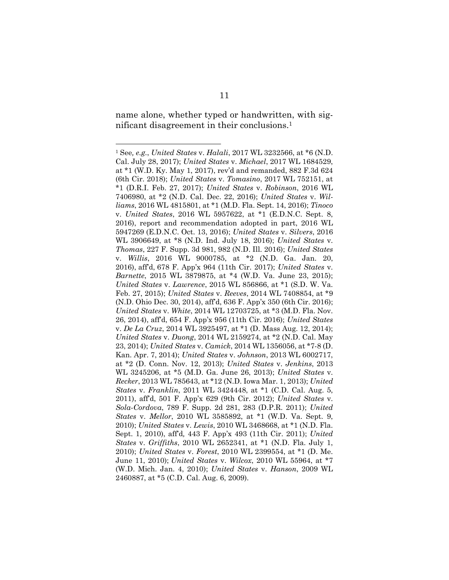name alone, whether typed or handwritten, with significant disagreement in their conclusions.<sup>1</sup>

<sup>1</sup> See*, e.g.*, *United States* v. *Halali*, 2017 WL 3232566, at \*6 (N.D. Cal. July 28, 2017); *United States* v. *Michael*, 2017 WL 1684529, at \*1 (W.D. Ky. May 1, 2017), rev'd and remanded, 882 F.3d 624 (6th Cir. 2018); *United States* v. *Tomasino*, 2017 WL 752151, at \*1 (D.R.I. Feb. 27, 2017); *United States* v. *Robinson*, 2016 WL 7406980, at \*2 (N.D. Cal. Dec. 22, 2016); *United States* v. *Williams*, 2016 WL 4815801, at \*1 (M.D. Fla. Sept. 14, 2016); *Tinoco* v. *United States*, 2016 WL 5957622, at \*1 (E.D.N.C. Sept. 8, 2016), report and recommendation adopted in part, 2016 WL 5947269 (E.D.N.C. Oct. 13, 2016); *United States* v. *Silvers*, 2016 WL 3906649, at \*8 (N.D. Ind. July 18, 2016); *United States* v. *Thomas*, 227 F. Supp. 3d 981, 982 (N.D. Ill. 2016); *United States* v. *Willis*, 2016 WL 9000785, at \*2 (N.D. Ga. Jan. 20, 2016), aff'd, 678 F. App'x 964 (11th Cir. 2017); *United States* v. *Barnette*, 2015 WL 3879875, at \*4 (W.D. Va. June 23, 2015); *United States* v. *Lawrence*, 2015 WL 856866, at \*1 (S.D. W. Va. Feb. 27, 2015); *United States* v. *Reeves*, 2014 WL 7408854, at \*9 (N.D. Ohio Dec. 30, 2014), aff'd, 636 F. App'x 350 (6th Cir. 2016); *United States* v. *White*, 2014 WL 12703725, at \*3 (M.D. Fla. Nov. 26, 2014), aff'd, 654 F. App'x 956 (11th Cir. 2016); *United States* v. *De La Cruz*, 2014 WL 3925497, at \*1 (D. Mass Aug. 12, 2014); *United States* v. *Duong*, 2014 WL 2159274, at \*2 (N.D. Cal. May 23, 2014); *United States* v. *Camick*, 2014 WL 1356056, at \*7-8 (D. Kan. Apr. 7, 2014); *United States* v. *Johnson*, 2013 WL 6002717, at \*2 (D. Conn. Nov. 12, 2013); *United States* v. *Jenkins*, 2013 WL 3245206, at \*5 (M.D. Ga. June 26, 2013); *United States* v. *Recker*, 2013 WL 785643, at \*12 (N.D. Iowa Mar. 1, 2013); *United States* v. *Franklin*, 2011 WL 3424448, at \*1 (C.D. Cal. Aug. 5, 2011), aff'd, 501 F. App'x 629 (9th Cir. 2012); *United States* v. *Sola-Cordova*, 789 F. Supp. 2d 281, 283 (D.P.R. 2011); *United States* v. *Mellor*, 2010 WL 3585892, at \*1 (W.D. Va. Sept. 9, 2010); *United States* v. *Lewis*, 2010 WL 3468668, at \*1 (N.D. Fla. Sept. 1, 2010), aff'd*,* 443 F. App'x 493 (11th Cir. 2011); *United States* v. *Griffiths*, 2010 WL 2652341, at \*1 (N.D. Fla. July 1, 2010); *United States* v. *Forest*, 2010 WL 2399554, at \*1 (D. Me. June 11, 2010); *United States* v. *Wilcox*, 2010 WL 55964, at \*7 (W.D. Mich. Jan. 4, 2010); *United States* v. *Hanson*, 2009 WL 2460887, at \*5 (C.D. Cal. Aug. 6, 2009).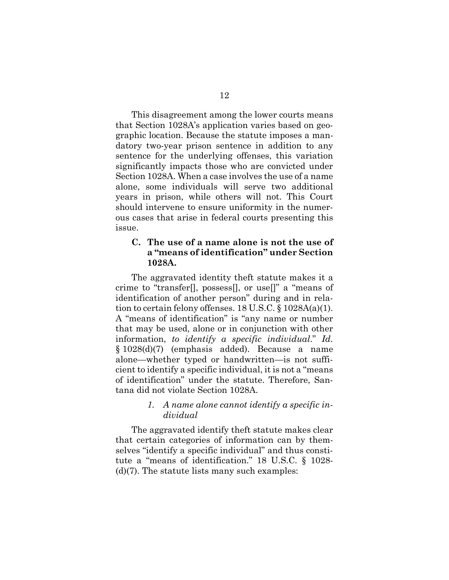This disagreement among the lower courts means that Section 1028A's application varies based on geographic location. Because the statute imposes a mandatory two-year prison sentence in addition to any sentence for the underlying offenses, this variation significantly impacts those who are convicted under Section 1028A. When a case involves the use of a name alone, some individuals will serve two additional years in prison, while others will not. This Court should intervene to ensure uniformity in the numerous cases that arise in federal courts presenting this issue.

### **C. The use of a name alone is not the use of a "means of identification" under Section 1028A.**

The aggravated identity theft statute makes it a crime to "transfer[], possess[], or use[]" a "means of identification of another person" during and in relation to certain felony offenses. 18 U.S.C. § 1028A(a)(1). A "means of identification" is "any name or number that may be used, alone or in conjunction with other information, *to identify a specific individual*." *Id.*  § 1028(d)(7) (emphasis added). Because a name alone—whether typed or handwritten—is not sufficient to identify a specific individual, it is not a "means of identification" under the statute. Therefore, Santana did not violate Section 1028A.

### *1. A name alone cannot identify a specific individual*

The aggravated identify theft statute makes clear that certain categories of information can by themselves "identify a specific individual" and thus constitute a "means of identification." 18 U.S.C. § 1028-  $(d)(7)$ . The statute lists many such examples: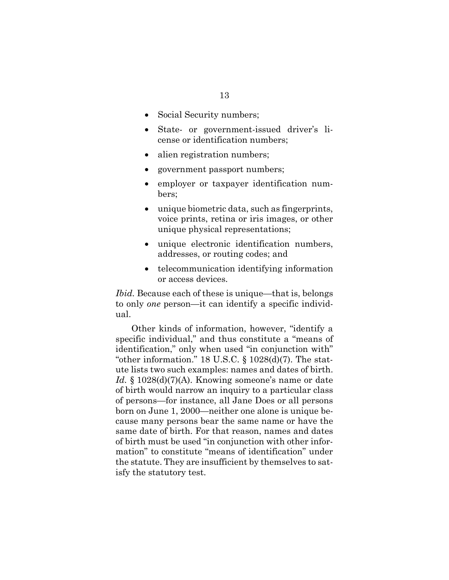- Social Security numbers;
- State- or government-issued driver's license or identification numbers;
- alien registration numbers;
- government passport numbers;
- employer or taxpayer identification numbers;
- unique biometric data, such as fingerprints, voice prints, retina or iris images, or other unique physical representations;
- unique electronic identification numbers, addresses, or routing codes; and
- telecommunication identifying information or access devices.

*Ibid.* Because each of these is unique—that is, belongs to only *one* person—it can identify a specific individual.

Other kinds of information, however, "identify a specific individual," and thus constitute a "means of identification," only when used "in conjunction with" "other information." 18 U.S.C.  $\S$  1028(d)(7). The statute lists two such examples: names and dates of birth. *Id.* § 1028(d)(7)(A). Knowing someone's name or date of birth would narrow an inquiry to a particular class of persons—for instance, all Jane Does or all persons born on June 1, 2000—neither one alone is unique because many persons bear the same name or have the same date of birth. For that reason, names and dates of birth must be used "in conjunction with other information" to constitute "means of identification" under the statute. They are insufficient by themselves to satisfy the statutory test.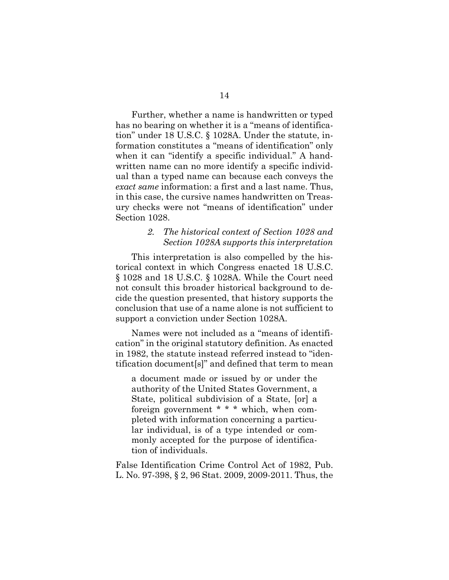Further, whether a name is handwritten or typed has no bearing on whether it is a "means of identification" under 18 U.S.C. § 1028A. Under the statute, information constitutes a "means of identification" only when it can "identify a specific individual." A handwritten name can no more identify a specific individual than a typed name can because each conveys the *exact same* information: a first and a last name. Thus, in this case, the cursive names handwritten on Treasury checks were not "means of identification" under Section 1028.

### *2. The historical context of Section 1028 and Section 1028A supports this interpretation*

This interpretation is also compelled by the historical context in which Congress enacted 18 U.S.C. § 1028 and 18 U.S.C. § 1028A. While the Court need not consult this broader historical background to decide the question presented, that history supports the conclusion that use of a name alone is not sufficient to support a conviction under Section 1028A.

Names were not included as a "means of identification" in the original statutory definition. As enacted in 1982, the statute instead referred instead to "identification document[s]" and defined that term to mean

a document made or issued by or under the authority of the United States Government, a State, political subdivision of a State, [or] a foreign government \* \* \* which, when completed with information concerning a particular individual, is of a type intended or commonly accepted for the purpose of identification of individuals.

False Identification Crime Control Act of 1982, Pub. L. No. 97-398, § 2, 96 Stat. 2009, 2009-2011. Thus, the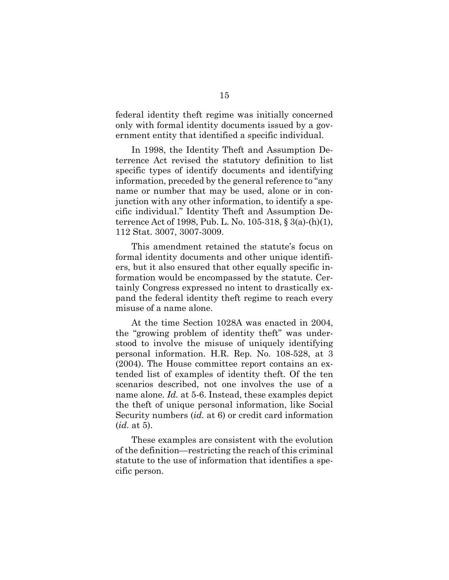federal identity theft regime was initially concerned only with formal identity documents issued by a government entity that identified a specific individual.

In 1998, the Identity Theft and Assumption Deterrence Act revised the statutory definition to list specific types of identify documents and identifying information, preceded by the general reference to "any name or number that may be used, alone or in conjunction with any other information, to identify a specific individual." Identity Theft and Assumption Deterrence Act of 1998, Pub. L. No. 105-318, § 3(a)-(h)(1), 112 Stat. 3007, 3007-3009.

This amendment retained the statute's focus on formal identity documents and other unique identifiers, but it also ensured that other equally specific information would be encompassed by the statute. Certainly Congress expressed no intent to drastically expand the federal identity theft regime to reach every misuse of a name alone.

At the time Section 1028A was enacted in 2004, the "growing problem of identity theft" was understood to involve the misuse of uniquely identifying personal information. H.R. Rep. No. 108-528, at 3 (2004). The House committee report contains an extended list of examples of identity theft. Of the ten scenarios described, not one involves the use of a name alone. *Id.* at 5-6. Instead, these examples depict the theft of unique personal information, like Social Security numbers (*id.* at 6) or credit card information (*id.* at 5).

These examples are consistent with the evolution of the definition—restricting the reach of this criminal statute to the use of information that identifies a specific person.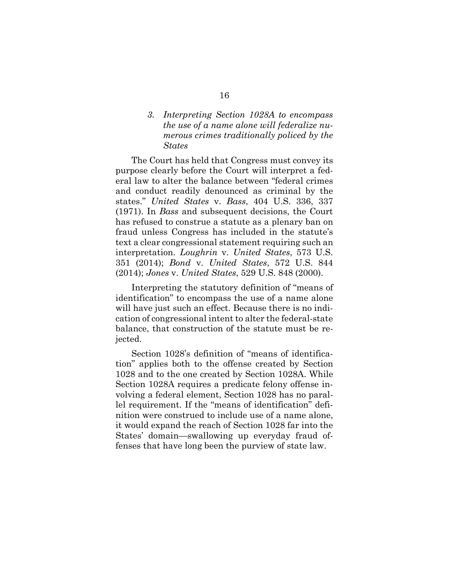## *3. Interpreting Section 1028A to encompass the use of a name alone will federalize numerous crimes traditionally policed by the States*

The Court has held that Congress must convey its purpose clearly before the Court will interpret a federal law to alter the balance between "federal crimes and conduct readily denounced as criminal by the states." *United States* v. *Bass*, 404 U.S. 336, 337 (1971). In *Bass* and subsequent decisions, the Court has refused to construe a statute as a plenary ban on fraud unless Congress has included in the statute's text a clear congressional statement requiring such an interpretation. *Loughrin* v. *United States*, 573 U.S. 351 (2014); *Bond* v. *United States*, 572 U.S. 844 (2014); *Jones* v. *United States*, 529 U.S. 848 (2000).

Interpreting the statutory definition of "means of identification" to encompass the use of a name alone will have just such an effect. Because there is no indication of congressional intent to alter the federal-state balance, that construction of the statute must be rejected.

Section 1028's definition of "means of identification" applies both to the offense created by Section 1028 and to the one created by Section 1028A. While Section 1028A requires a predicate felony offense involving a federal element, Section 1028 has no parallel requirement. If the "means of identification" definition were construed to include use of a name alone, it would expand the reach of Section 1028 far into the States' domain—swallowing up everyday fraud offenses that have long been the purview of state law.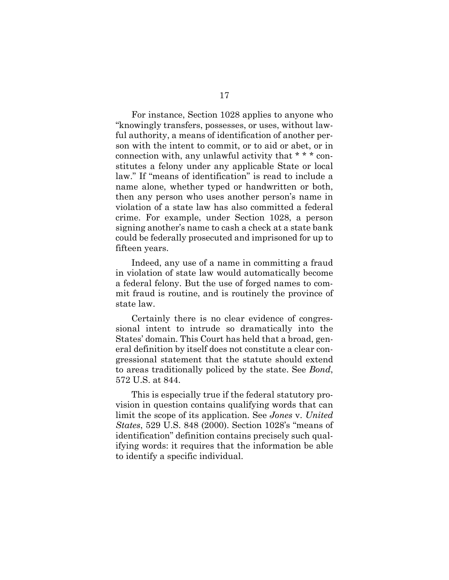For instance, Section 1028 applies to anyone who "knowingly transfers, possesses, or uses, without lawful authority, a means of identification of another person with the intent to commit, or to aid or abet, or in connection with, any unlawful activity that \* \* \* constitutes a felony under any applicable State or local law." If "means of identification" is read to include a name alone, whether typed or handwritten or both, then any person who uses another person's name in violation of a state law has also committed a federal crime. For example, under Section 1028, a person signing another's name to cash a check at a state bank could be federally prosecuted and imprisoned for up to fifteen years.

Indeed, any use of a name in committing a fraud in violation of state law would automatically become a federal felony. But the use of forged names to commit fraud is routine, and is routinely the province of state law.

Certainly there is no clear evidence of congressional intent to intrude so dramatically into the States' domain. This Court has held that a broad, general definition by itself does not constitute a clear congressional statement that the statute should extend to areas traditionally policed by the state. See *Bond*, 572 U.S. at 844.

This is especially true if the federal statutory provision in question contains qualifying words that can limit the scope of its application. See *Jones* v. *United States*, 529 U.S. 848 (2000). Section 1028's "means of identification" definition contains precisely such qualifying words: it requires that the information be able to identify a specific individual.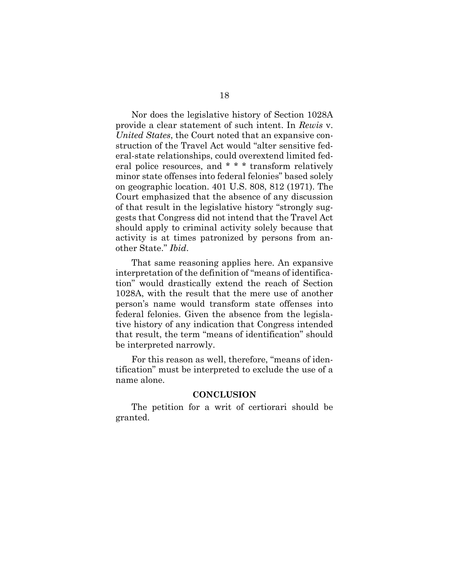Nor does the legislative history of Section 1028A provide a clear statement of such intent. In *Rewis* v. *United States*, the Court noted that an expansive construction of the Travel Act would "alter sensitive federal-state relationships, could overextend limited federal police resources, and \* \* \* transform relatively minor state offenses into federal felonies" based solely on geographic location. 401 U.S. 808, 812 (1971). The Court emphasized that the absence of any discussion of that result in the legislative history "strongly suggests that Congress did not intend that the Travel Act should apply to criminal activity solely because that activity is at times patronized by persons from another State." *Ibid*.

That same reasoning applies here. An expansive interpretation of the definition of "means of identification" would drastically extend the reach of Section 1028A, with the result that the mere use of another person's name would transform state offenses into federal felonies. Given the absence from the legislative history of any indication that Congress intended that result, the term "means of identification" should be interpreted narrowly.

For this reason as well, therefore, "means of identification" must be interpreted to exclude the use of a name alone.

#### **CONCLUSION**

The petition for a writ of certiorari should be granted.